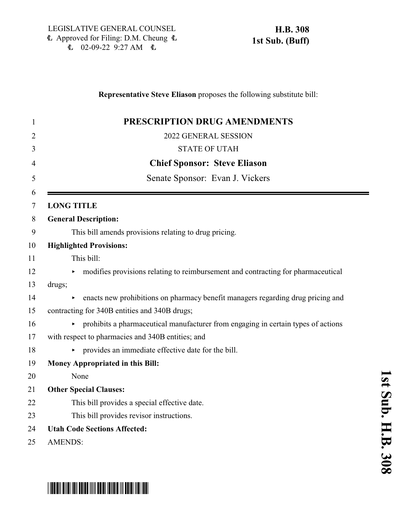## **Representative Steve Eliason** proposes the following substitute bill: **PRESCRIPTION DRUG AMENDMENTS** 2022 GENERAL SESSION STATE OF UTAH **Chief Sponsor: Steve Eliason** Senate Sponsor: Evan J. Vickers **LONG TITLE General Description:** This bill amends provisions relating to drug pricing. **Highlighted Provisions:** This bill: 12 modifies provisions relating to reimbursement and contracting for pharmaceutical drugs; 14 enacts new prohibitions on pharmacy benefit managers regarding drug pricing and contracting for 340B entities and 340B drugs;  $16 \rightarrow$  prohibits a pharmaceutical manufacturer from engaging in certain types of actions with respect to pharmacies and 340B entities; and < provides an immediate effective date for the bill. **Money Appropriated in this Bill:** None **Other Special Clauses:** This bill provides a special effective date. This bill provides revisor instructions. **Utah Code Sections Affected:** AMENDS:

# \*HB0308S01\*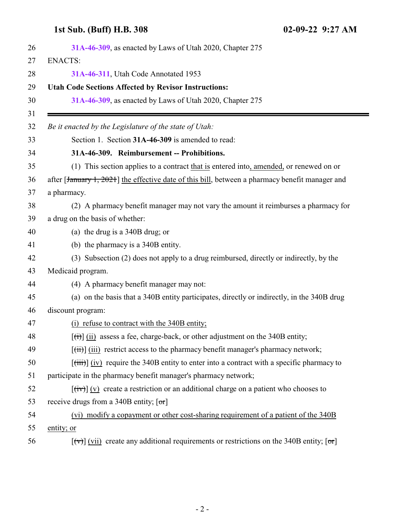### <span id="page-1-0"></span>**1st Sub. (Buff) H.B. 308 02-09-22 9:27 AM**

| <b>ENACTS:</b><br>31A-46-311, Utah Code Annotated 1953<br><b>Utah Code Sections Affected by Revisor Instructions:</b><br>31A-46-309, as enacted by Laws of Utah 2020, Chapter 275 |  |
|-----------------------------------------------------------------------------------------------------------------------------------------------------------------------------------|--|
|                                                                                                                                                                                   |  |
|                                                                                                                                                                                   |  |
|                                                                                                                                                                                   |  |
|                                                                                                                                                                                   |  |
| Be it enacted by the Legislature of the state of Utah:                                                                                                                            |  |
| Section 1. Section 31A-46-309 is amended to read:                                                                                                                                 |  |
| 31A-46-309. Reimbursement -- Prohibitions.                                                                                                                                        |  |
| (1) This section applies to a contract that is entered into, amended, or renewed on or                                                                                            |  |
| after [January 1, 2021] the effective date of this bill, between a pharmacy benefit manager and                                                                                   |  |
| a pharmacy.                                                                                                                                                                       |  |
| (2) A pharmacy benefit manager may not vary the amount it reimburses a pharmacy for                                                                                               |  |
| a drug on the basis of whether:                                                                                                                                                   |  |
| (a) the drug is a $340B$ drug; or                                                                                                                                                 |  |
| (b) the pharmacy is a 340B entity.                                                                                                                                                |  |
| (3) Subsection (2) does not apply to a drug reimbursed, directly or indirectly, by the                                                                                            |  |
| Medicaid program.                                                                                                                                                                 |  |
| (4) A pharmacy benefit manager may not:                                                                                                                                           |  |
| (a) on the basis that a 340B entity participates, directly or indirectly, in the 340B drug                                                                                        |  |
| discount program:                                                                                                                                                                 |  |
| (i) refuse to contract with the 340B entity;                                                                                                                                      |  |
| $\left[\frac{f(t)}{g(t)}\right]$ (ii) assess a fee, charge-back, or other adjustment on the 340B entity;                                                                          |  |
| $[\overrightarrow{tii}]$ (iii) restrict access to the pharmacy benefit manager's pharmacy network;                                                                                |  |
| $[\overrightarrow{tiii}]$ (iv) require the 340B entity to enter into a contract with a specific pharmacy to                                                                       |  |
| participate in the pharmacy benefit manager's pharmacy network;                                                                                                                   |  |
| $[\overrightarrow{tv}]$ (v) create a restriction or an additional charge on a patient who chooses to                                                                              |  |
| receive drugs from a 340B entity; $[\sigma r]$                                                                                                                                    |  |
| (vi) modify a copayment or other cost-sharing requirement of a patient of the 340B                                                                                                |  |
| entity; or                                                                                                                                                                        |  |
|                                                                                                                                                                                   |  |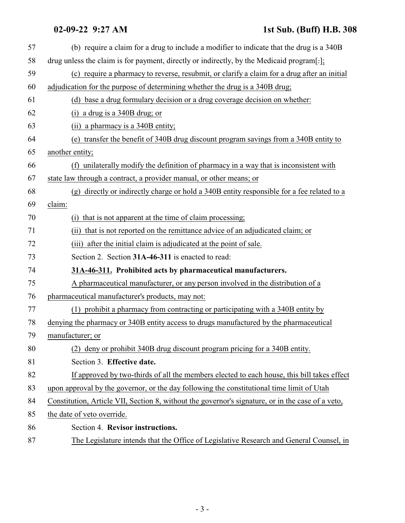#### **02-09-22 9:27 AM 1st Sub. (Buff) H.B. 308**

<span id="page-2-0"></span>

| 57 | (b) require a claim for a drug to include a modifier to indicate that the drug is a 340B          |
|----|---------------------------------------------------------------------------------------------------|
| 58 | drug unless the claim is for payment, directly or indirectly, by the Medicaid program[-];         |
| 59 | (c) require a pharmacy to reverse, resubmit, or clarify a claim for a drug after an initial       |
| 60 | adjudication for the purpose of determining whether the drug is a 340B drug;                      |
| 61 | (d) base a drug formulary decision or a drug coverage decision on whether:                        |
| 62 | (i) a drug is a $340B$ drug; or                                                                   |
| 63 | (ii) a pharmacy is a 340B entity;                                                                 |
| 64 | (e) transfer the benefit of 340B drug discount program savings from a 340B entity to              |
| 65 | another entity;                                                                                   |
| 66 | (f) unilaterally modify the definition of pharmacy in a way that is inconsistent with             |
| 67 | state law through a contract, a provider manual, or other means; or                               |
| 68 | (g) directly or indirectly charge or hold a 340B entity responsible for a fee related to a        |
| 69 | claim:                                                                                            |
| 70 | that is not apparent at the time of claim processing;                                             |
| 71 | (ii) that is not reported on the remittance advice of an adjudicated claim; or                    |
| 72 | after the initial claim is adjudicated at the point of sale.<br>(iii)                             |
| 73 | Section 2. Section 31A-46-311 is enacted to read:                                                 |
| 74 | 31A-46-311. Prohibited acts by pharmaceutical manufacturers.                                      |
| 75 | A pharmaceutical manufacturer, or any person involved in the distribution of a                    |
| 76 | pharmaceutical manufacturer's products, may not:                                                  |
| 77 | (1) prohibit a pharmacy from contracting or participating with a 340B entity by                   |
| 78 | denying the pharmacy or 340B entity access to drugs manufactured by the pharmaceutical            |
| 79 | manufacturer; or                                                                                  |
| 80 | (2) deny or prohibit 340B drug discount program pricing for a 340B entity.                        |
| 81 | Section 3. Effective date.                                                                        |
| 82 | If approved by two-thirds of all the members elected to each house, this bill takes effect        |
| 83 | upon approval by the governor, or the day following the constitutional time limit of Utah         |
| 84 | Constitution, Article VII, Section 8, without the governor's signature, or in the case of a veto, |
| 85 | the date of veto override.                                                                        |
| 86 | Section 4. Revisor instructions.                                                                  |
| 87 | The Legislature intends that the Office of Legislative Research and General Counsel, in           |
|    |                                                                                                   |